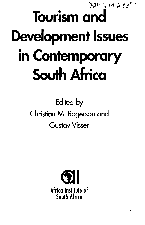## $4244409288$ **Tourism and Development Issues in Contemporary South Africa**

**Edited by Christian M . Rogerson and Gustav Visser**

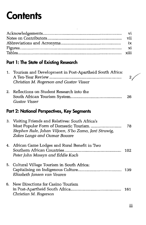## **Contents**

## **Part 1: The State of Existing Research**

|    | 1. Tourism and Development in Post-Apartheid South Africa:<br>Christian M. Rogerson and Gustav Visser                                                                            |     |  |  |  |
|----|----------------------------------------------------------------------------------------------------------------------------------------------------------------------------------|-----|--|--|--|
| 2. | Reflections on Student Research into the<br>Gustav Visser                                                                                                                        | 26  |  |  |  |
|    | Part 2: National Perspectives, Key Segments                                                                                                                                      |     |  |  |  |
| 3. | Visiting Friends and Relatives: South Africa's<br>Most Popular Form of Domestic Tourism<br>Stephen Rule, Johan Viljoen, S'bo Zama, Jaré Struwig,<br>Zakes Langa and Oumar Bouare | 78  |  |  |  |
|    | 4. African Game Lodges and Rural Benefit in Two<br>Peter John Massyn and Eddie Koch                                                                                              | 102 |  |  |  |
|    | 5. Cultural Village Tourism in South Africa:<br>Elizabeth Jansen van Veuren                                                                                                      | 139 |  |  |  |
| 6. | New Directions for Casino Tourism<br>Christian M. Rogerson                                                                                                                       | 161 |  |  |  |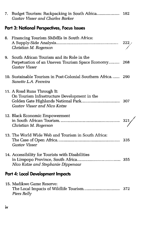|                                             | <b>Gustav Visser and Charles Barker</b>                                                                              |     |  |  |
|---------------------------------------------|----------------------------------------------------------------------------------------------------------------------|-----|--|--|
| Part 3: National Perspectives, Focus Issues |                                                                                                                      |     |  |  |
| 8.                                          | Financing Tourism SMMEs in South Africa:<br>Christian M. Rogerson                                                    |     |  |  |
| 9.                                          | South African Tourism and its Role in the<br>Perpetuation of an Uneven Tourism Space Economy<br><b>Gustav Visser</b> | 268 |  |  |
|                                             | 10. Sustainable Tourism in Post-Colonial Southern Africa 290<br>Sanette L.A. Ferreira                                |     |  |  |
|                                             | 11. A Road Runs Through It:<br>On Tourism Infrastructure Development in the<br>Gustav Visser and Nico Kotze          |     |  |  |
|                                             | 12. Black Economic Empowerment<br>Christian M. Rogerson                                                              |     |  |  |
|                                             | 13. The World Wide Web and Tourism in South Africa:<br>Gustav Visser                                                 |     |  |  |
|                                             | 14. Accessibility for Tourists with Disabilities<br>Nico Kotze and Stephanie Dippenaar                               |     |  |  |
| Part 4: Local Development Impacts           |                                                                                                                      |     |  |  |
|                                             | 15. Madikwe Game Reserve:<br>Piers Relly                                                                             | 372 |  |  |